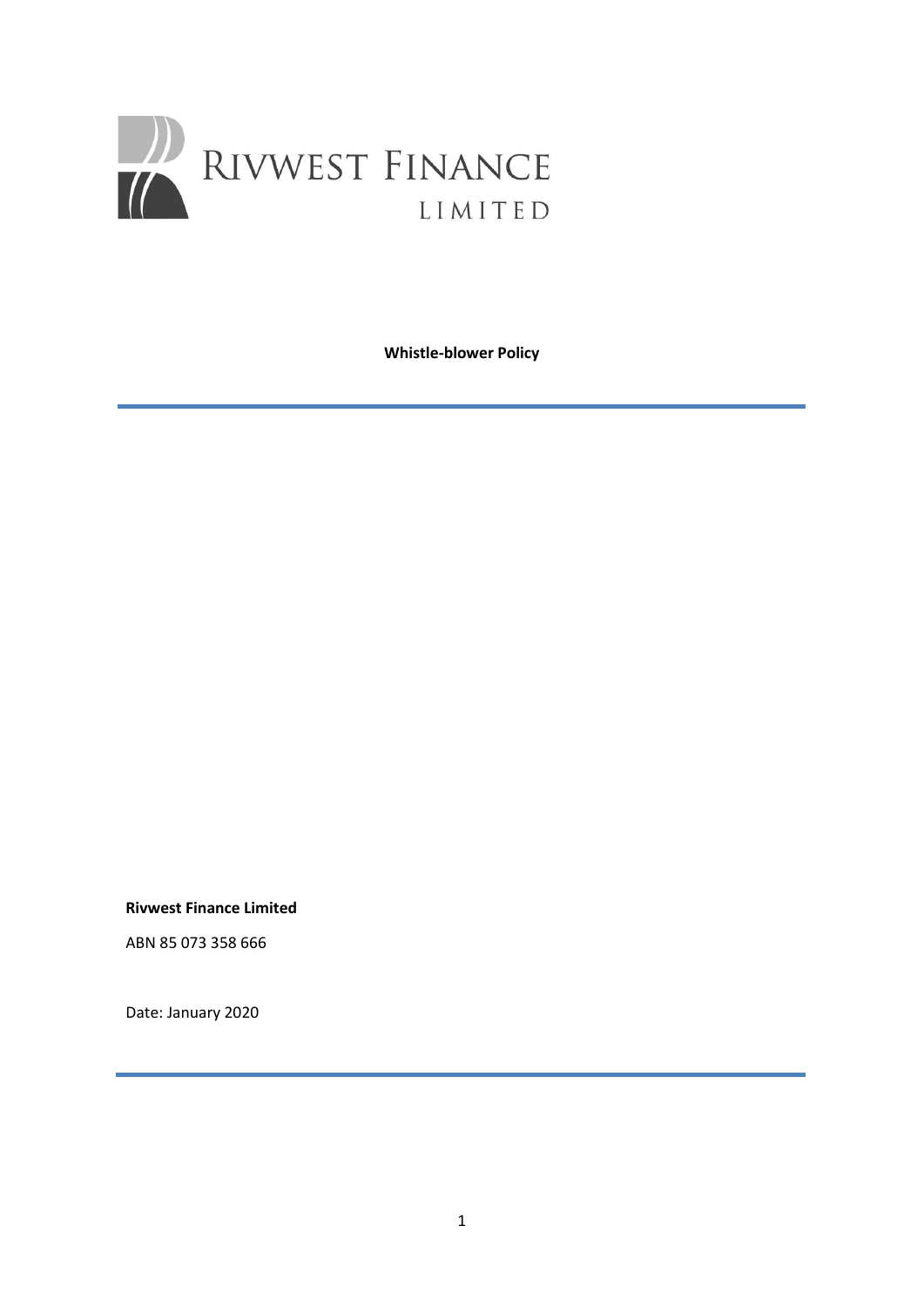

**Whistle-blower Policy**

**Rivwest Finance Limited** 

ABN 85 073 358 666

Date: January 2020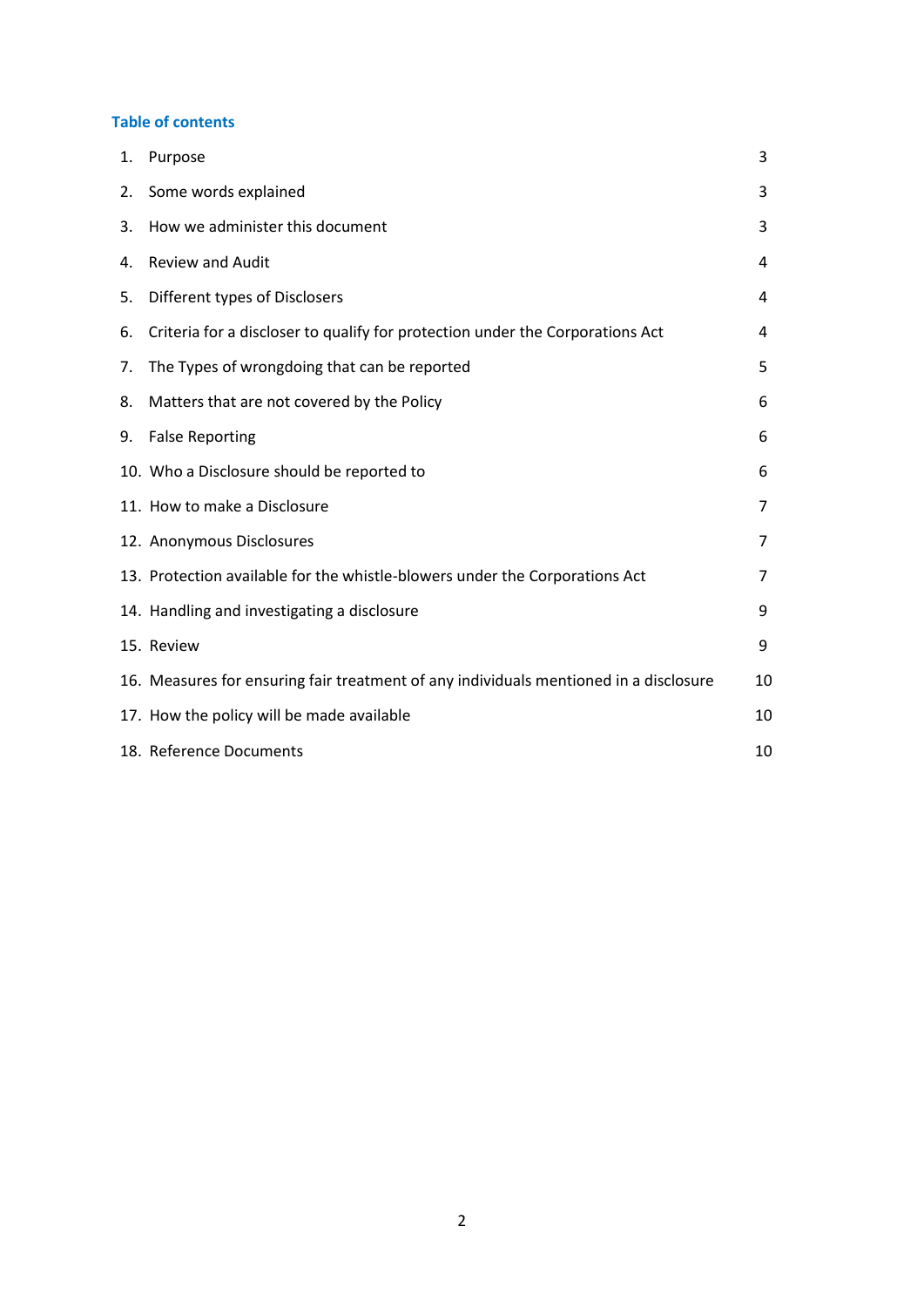### **Table of contents**

| 1. | Purpose                                                                               | 3              |
|----|---------------------------------------------------------------------------------------|----------------|
| 2. | Some words explained                                                                  | 3              |
| 3. | How we administer this document                                                       | 3              |
| 4. | <b>Review and Audit</b>                                                               | 4              |
| 5. | Different types of Disclosers                                                         | 4              |
| 6. | Criteria for a discloser to qualify for protection under the Corporations Act         | 4              |
| 7. | The Types of wrongdoing that can be reported                                          | 5              |
| 8. | Matters that are not covered by the Policy                                            | 6              |
| 9. | <b>False Reporting</b>                                                                | 6              |
|    | 10. Who a Disclosure should be reported to                                            | 6              |
|    | 11. How to make a Disclosure                                                          | $\overline{7}$ |
|    | 12. Anonymous Disclosures                                                             | 7              |
|    | 13. Protection available for the whistle-blowers under the Corporations Act           | 7              |
|    | 14. Handling and investigating a disclosure                                           | 9              |
|    | 15. Review                                                                            | 9              |
|    | 16. Measures for ensuring fair treatment of any individuals mentioned in a disclosure | 10             |
|    | 17. How the policy will be made available                                             | 10             |
|    | 18. Reference Documents                                                               | 10             |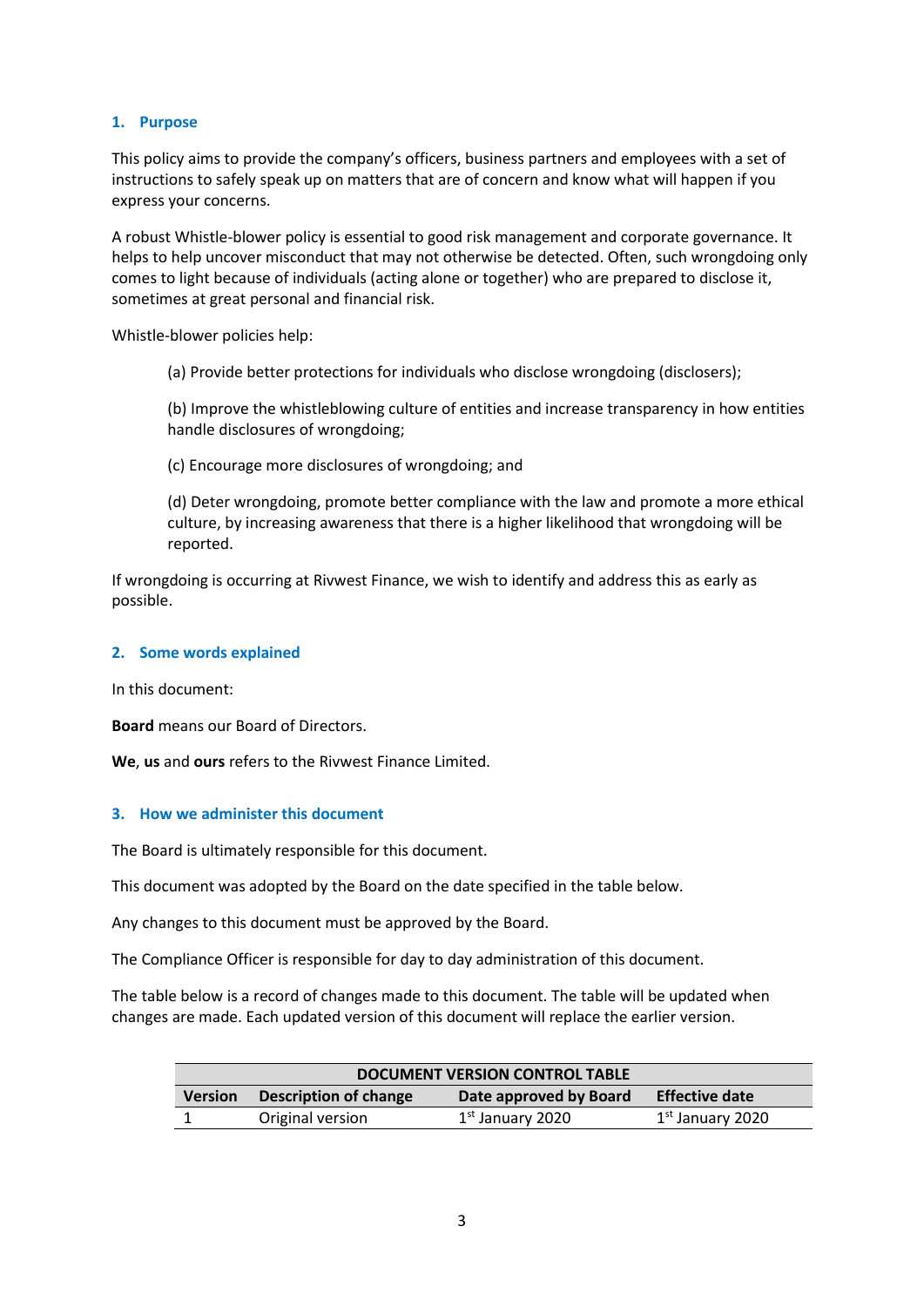### **1. Purpose**

This policy aims to provide the company's officers, business partners and employees with a set of instructions to safely speak up on matters that are of concern and know what will happen if you express your concerns.

A robust Whistle-blower policy is essential to good risk management and corporate governance. It helps to help uncover misconduct that may not otherwise be detected. Often, such wrongdoing only comes to light because of individuals (acting alone or together) who are prepared to disclose it, sometimes at great personal and financial risk.

Whistle-blower policies help:

(a) Provide better protections for individuals who disclose wrongdoing (disclosers);

(b) Improve the whistleblowing culture of entities and increase transparency in how entities handle disclosures of wrongdoing;

(c) Encourage more disclosures of wrongdoing; and

(d) Deter wrongdoing, promote better compliance with the law and promote a more ethical culture, by increasing awareness that there is a higher likelihood that wrongdoing will be reported.

If wrongdoing is occurring at Rivwest Finance, we wish to identify and address this as early as possible.

#### **2. Some words explained**

In this document:

**Board** means our Board of Directors.

**We**, **us** and **ours** refers to the Rivwest Finance Limited.

#### **3. How we administer this document**

The Board is ultimately responsible for this document.

This document was adopted by the Board on the date specified in the table below.

Any changes to this document must be approved by the Board.

The Compliance Officer is responsible for day to day administration of this document.

The table below is a record of changes made to this document. The table will be updated when changes are made. Each updated version of this document will replace the earlier version.

| <b>DOCUMENT VERSION CONTROL TABLE</b> |                       |                              |                       |  |  |
|---------------------------------------|-----------------------|------------------------------|-----------------------|--|--|
| <b>Version</b>                        | Description of change | Date approved by Board       | <b>Effective date</b> |  |  |
|                                       | Original version      | 1 <sup>st</sup> January 2020 | $1st$ January 2020    |  |  |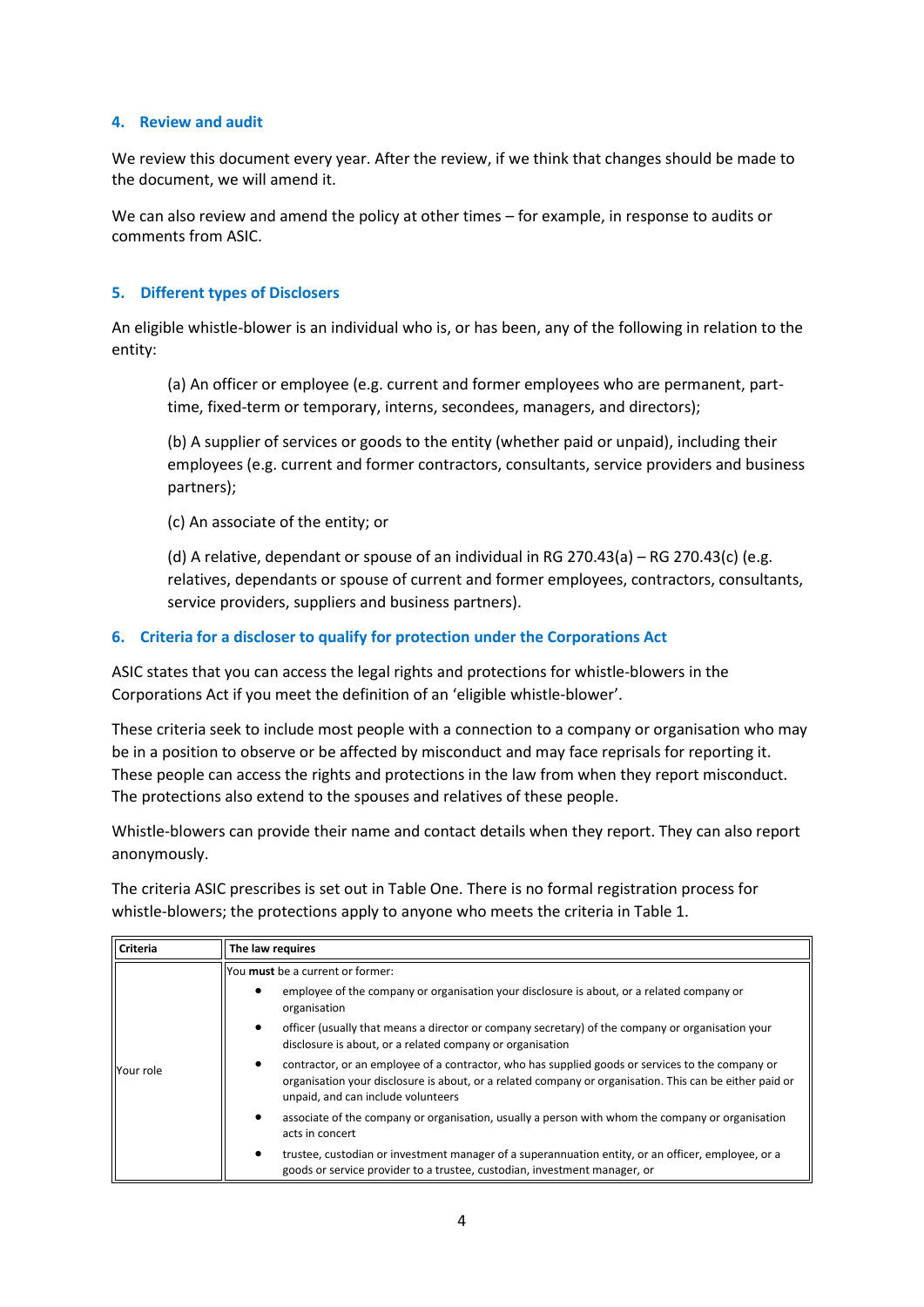#### **4. Review and audit**

We review this document every year. After the review, if we think that changes should be made to the document, we will amend it.

We can also review and amend the policy at other times – for example, in response to audits or comments from ASIC.

### **5. Different types of Disclosers**

An eligible whistle-blower is an individual who is, or has been, any of the following in relation to the entity:

(a) An officer or employee (e.g. current and former employees who are permanent, parttime, fixed-term or temporary, interns, secondees, managers, and directors);

(b) A supplier of services or goods to the entity (whether paid or unpaid), including their employees (e.g. current and former contractors, consultants, service providers and business partners);

(c) An associate of the entity; or

(d) A relative, dependant or spouse of an individual in RG 270.43(a) – RG 270.43(c) (e.g. relatives, dependants or spouse of current and former employees, contractors, consultants, service providers, suppliers and business partners).

### **6. Criteria for a discloser to qualify for protection under the Corporations Act**

ASIC states that you can access the legal rights and protections for whistle-blowers in the Corporations Act if you meet the definition of an 'eligible whistle-blower'.

These criteria seek to include most people with a connection to a company or organisation who may be in a position to observe or be affected by misconduct and may face reprisals for reporting it. These people can access the rights and protections in the law from when they report misconduct. The protections also extend to the spouses and relatives of these people.

Whistle-blowers can provide their name and contact details when they report. They can also report anonymously.

The criteria ASIC prescribes is set out in Table One. There is no formal registration process for whistle-blowers; the protections apply to anyone who meets the criteria in Table 1.

| Criteria  | The law requires                                                                                                                                                                                                                                  |  |  |
|-----------|---------------------------------------------------------------------------------------------------------------------------------------------------------------------------------------------------------------------------------------------------|--|--|
|           | You must be a current or former:                                                                                                                                                                                                                  |  |  |
|           | employee of the company or organisation your disclosure is about, or a related company or<br>organisation                                                                                                                                         |  |  |
|           | officer (usually that means a director or company secretary) of the company or organisation your<br>٠<br>disclosure is about, or a related company or organisation                                                                                |  |  |
| Your role | contractor, or an employee of a contractor, who has supplied goods or services to the company or<br>organisation your disclosure is about, or a related company or organisation. This can be either paid or<br>unpaid, and can include volunteers |  |  |
|           | associate of the company or organisation, usually a person with whom the company or organisation<br>acts in concert                                                                                                                               |  |  |
|           | trustee, custodian or investment manager of a superannuation entity, or an officer, employee, or a<br>٠<br>goods or service provider to a trustee, custodian, investment manager, or                                                              |  |  |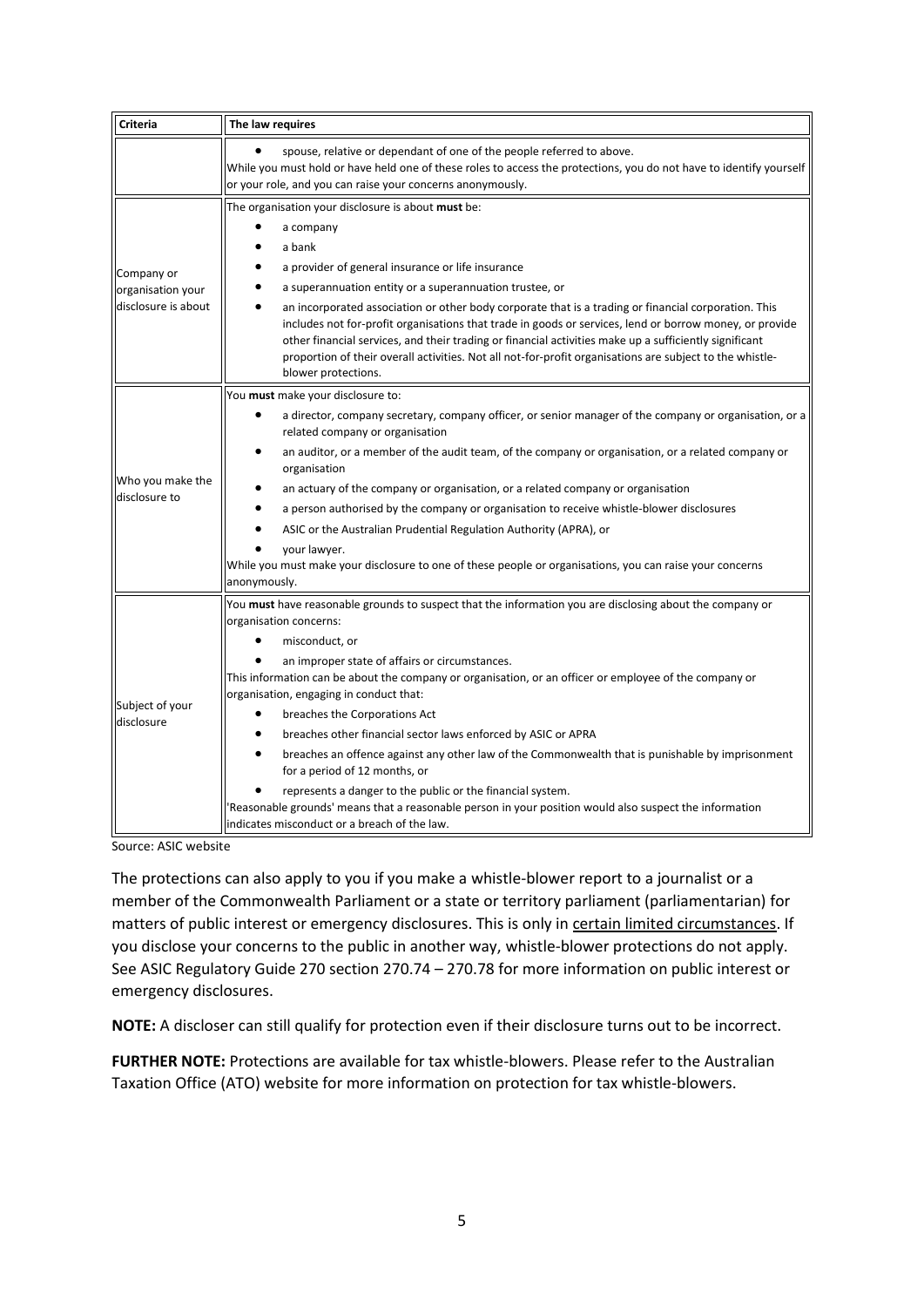| <b>Criteria</b>                                        | The law requires                                                                                                                                                                                                                                                                                                                                                                                                                                                                                                                                                                                                                                                                                                                                                                                                                        |  |  |  |
|--------------------------------------------------------|-----------------------------------------------------------------------------------------------------------------------------------------------------------------------------------------------------------------------------------------------------------------------------------------------------------------------------------------------------------------------------------------------------------------------------------------------------------------------------------------------------------------------------------------------------------------------------------------------------------------------------------------------------------------------------------------------------------------------------------------------------------------------------------------------------------------------------------------|--|--|--|
|                                                        | spouse, relative or dependant of one of the people referred to above.<br>While you must hold or have held one of these roles to access the protections, you do not have to identify yourself<br>or your role, and you can raise your concerns anonymously.                                                                                                                                                                                                                                                                                                                                                                                                                                                                                                                                                                              |  |  |  |
| Company or<br>organisation your<br>disclosure is about | The organisation your disclosure is about must be:<br>a company<br>a bank<br>a provider of general insurance or life insurance<br>a superannuation entity or a superannuation trustee, or<br>an incorporated association or other body corporate that is a trading or financial corporation. This<br>includes not for-profit organisations that trade in goods or services, lend or borrow money, or provide<br>other financial services, and their trading or financial activities make up a sufficiently significant<br>proportion of their overall activities. Not all not-for-profit organisations are subject to the whistle-<br>blower protections.                                                                                                                                                                               |  |  |  |
| Who you make the<br>disclosure to                      | You must make your disclosure to:<br>a director, company secretary, company officer, or senior manager of the company or organisation, or a<br>related company or organisation<br>an auditor, or a member of the audit team, of the company or organisation, or a related company or<br>$\bullet$<br>organisation<br>an actuary of the company or organisation, or a related company or organisation<br>a person authorised by the company or organisation to receive whistle-blower disclosures<br>ASIC or the Australian Prudential Regulation Authority (APRA), or<br>your lawyer.<br>While you must make your disclosure to one of these people or organisations, you can raise your concerns<br>anonymously.                                                                                                                       |  |  |  |
| Subject of your<br>disclosure                          | You must have reasonable grounds to suspect that the information you are disclosing about the company or<br>organisation concerns:<br>misconduct, or<br>an improper state of affairs or circumstances.<br>This information can be about the company or organisation, or an officer or employee of the company or<br>organisation, engaging in conduct that:<br>breaches the Corporations Act<br>$\bullet$<br>breaches other financial sector laws enforced by ASIC or APRA<br>breaches an offence against any other law of the Commonwealth that is punishable by imprisonment<br>for a period of 12 months, or<br>represents a danger to the public or the financial system.<br>Reasonable grounds' means that a reasonable person in your position would also suspect the information<br>indicates misconduct or a breach of the law. |  |  |  |

Source: ASIC website

The protections can also apply to you if you make a whistle-blower report to a journalist or a member of the Commonwealth Parliament or a state or territory parliament (parliamentarian) for matters of public interest or emergency disclosures. This is only in certain limited circumstances. If you disclose your concerns to the public in another way, whistle-blower protections do not apply. See ASIC Regulatory Guide 270 section 270.74 – 270.78 for more information on public interest or emergency disclosures.

**NOTE:** A discloser can still qualify for protection even if their disclosure turns out to be incorrect.

**FURTHER NOTE:** Protections are available for tax whistle-blowers. Please refer to the Australian Taxation Office (ATO) website for more information on protection for tax whistle-blowers.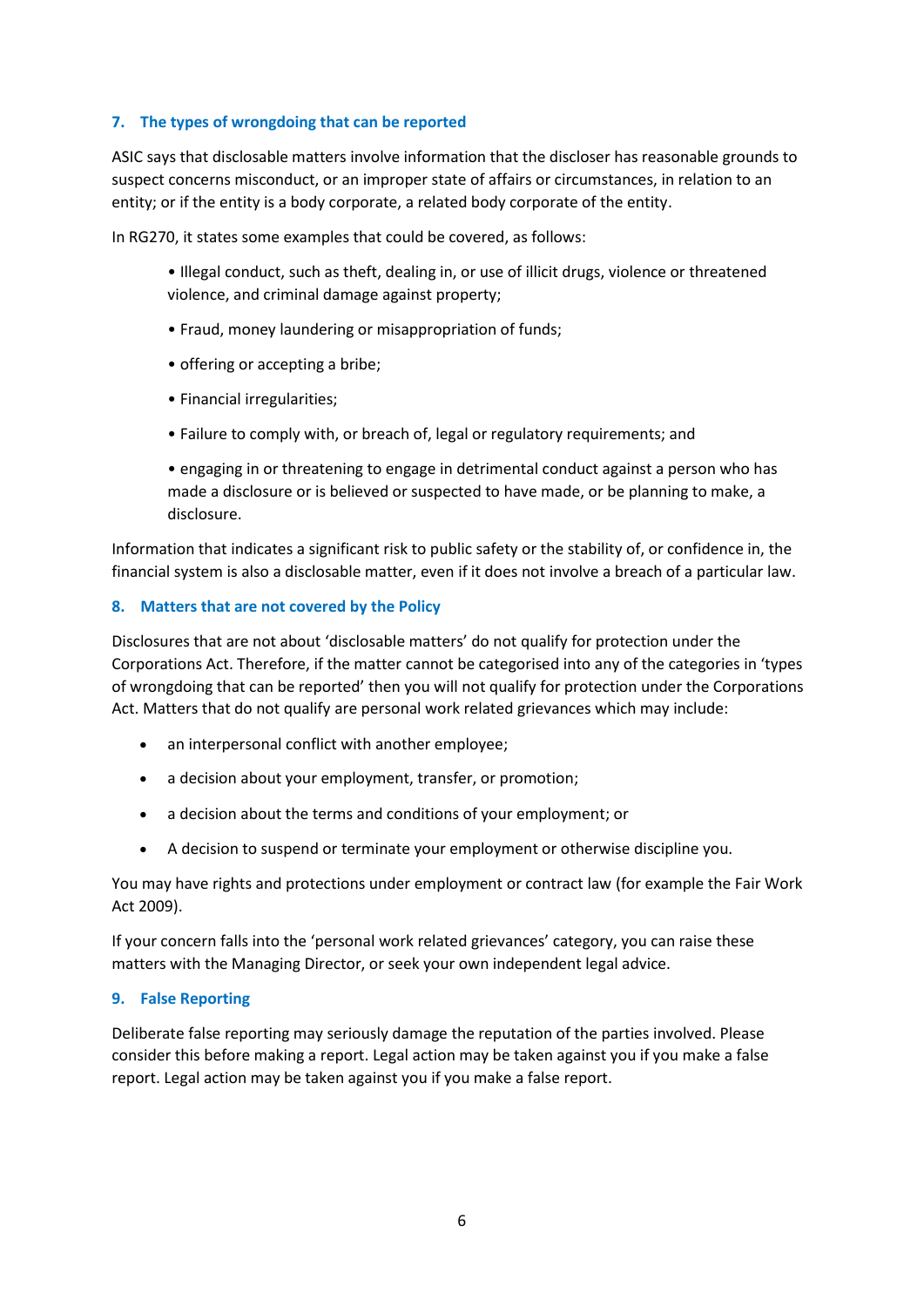## **7. The types of wrongdoing that can be reported**

ASIC says that disclosable matters involve information that the discloser has reasonable grounds to suspect concerns misconduct, or an improper state of affairs or circumstances, in relation to an entity; or if the entity is a body corporate, a related body corporate of the entity.

In RG270, it states some examples that could be covered, as follows:

• Illegal conduct, such as theft, dealing in, or use of illicit drugs, violence or threatened violence, and criminal damage against property;

- Fraud, money laundering or misappropriation of funds;
- offering or accepting a bribe;
- Financial irregularities;
- Failure to comply with, or breach of, legal or regulatory requirements; and

• engaging in or threatening to engage in detrimental conduct against a person who has made a disclosure or is believed or suspected to have made, or be planning to make, a disclosure.

Information that indicates a significant risk to public safety or the stability of, or confidence in, the financial system is also a disclosable matter, even if it does not involve a breach of a particular law.

#### **8. Matters that are not covered by the Policy**

Disclosures that are not about 'disclosable matters' do not qualify for protection under the Corporations Act. Therefore, if the matter cannot be categorised into any of the categories in 'types of wrongdoing that can be reported' then you will not qualify for protection under the Corporations Act. Matters that do not qualify are personal work related grievances which may include:

- an interpersonal conflict with another employee;
- a decision about your employment, transfer, or promotion;
- a decision about the terms and conditions of your employment; or
- A decision to suspend or terminate your employment or otherwise discipline you.

You may have rights and protections under employment or contract law (for example the Fair Work Act 2009).

If your concern falls into the 'personal work related grievances' category, you can raise these matters with the Managing Director, or seek your own independent legal advice.

#### **9. False Reporting**

Deliberate false reporting may seriously damage the reputation of the parties involved. Please consider this before making a report. Legal action may be taken against you if you make a false report. Legal action may be taken against you if you make a false report.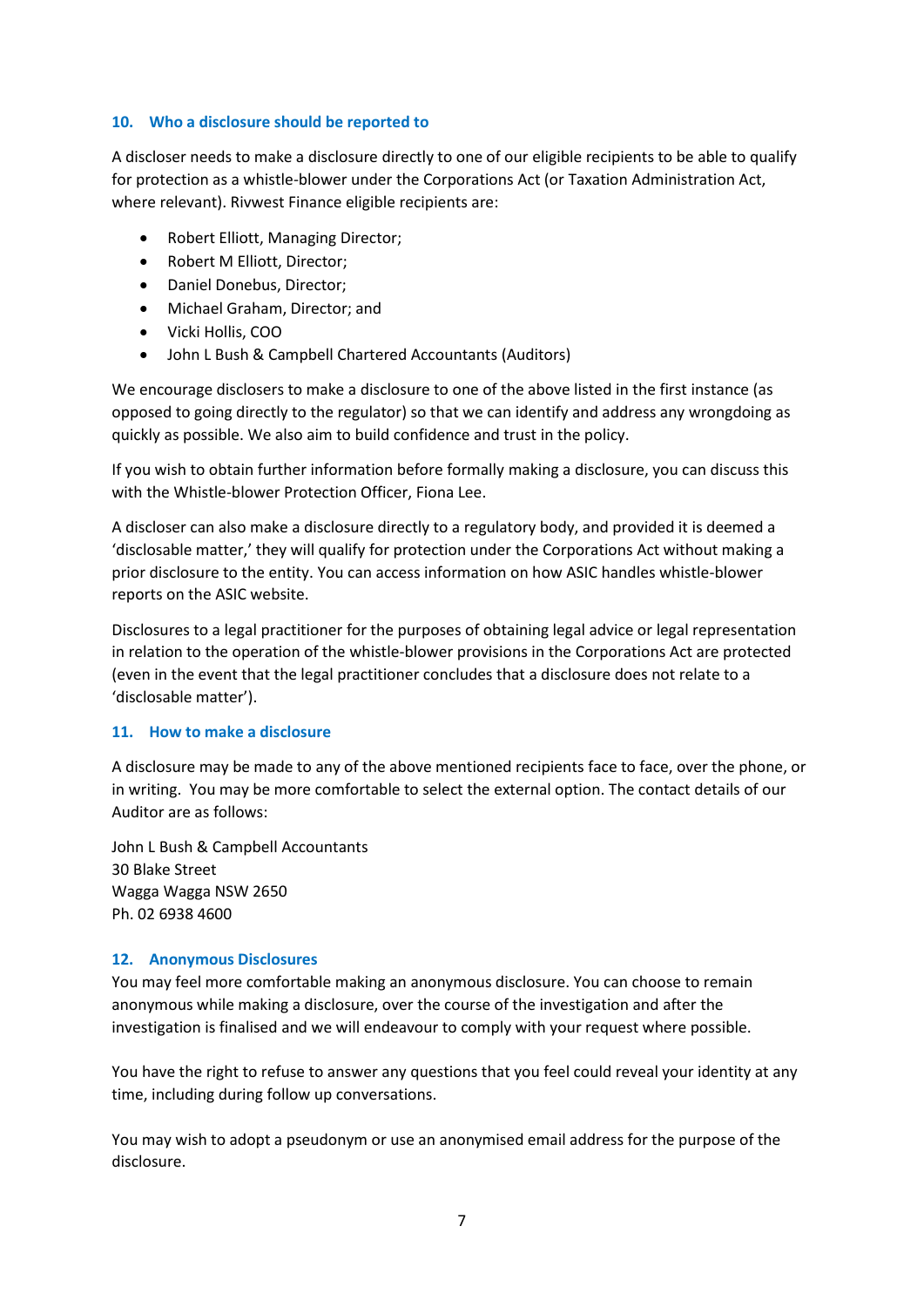#### **10. Who a disclosure should be reported to**

A discloser needs to make a disclosure directly to one of our eligible recipients to be able to qualify for protection as a whistle-blower under the Corporations Act (or Taxation Administration Act, where relevant). Rivwest Finance eligible recipients are:

- Robert Elliott, Managing Director;
- Robert M Elliott, Director;
- Daniel Donebus, Director;
- Michael Graham, Director; and
- Vicki Hollis, COO
- John L Bush & Campbell Chartered Accountants (Auditors)

We encourage disclosers to make a disclosure to one of the above listed in the first instance (as opposed to going directly to the regulator) so that we can identify and address any wrongdoing as quickly as possible. We also aim to build confidence and trust in the policy.

If you wish to obtain further information before formally making a disclosure, you can discuss this with the Whistle-blower Protection Officer, Fiona Lee.

A discloser can also make a disclosure directly to a regulatory body, and provided it is deemed a 'disclosable matter,' they will qualify for protection under the Corporations Act without making a prior disclosure to the entity. You can access information on how ASIC handles whistle-blower reports on the ASIC website.

Disclosures to a legal practitioner for the purposes of obtaining legal advice or legal representation in relation to the operation of the whistle-blower provisions in the Corporations Act are protected (even in the event that the legal practitioner concludes that a disclosure does not relate to a 'disclosable matter').

## **11. How to make a disclosure**

A disclosure may be made to any of the above mentioned recipients face to face, over the phone, or in writing. You may be more comfortable to select the external option. The contact details of our Auditor are as follows:

John L Bush & Campbell Accountants 30 Blake Street Wagga Wagga NSW 2650 Ph. 02 6938 4600

## **12. Anonymous Disclosures**

You may feel more comfortable making an anonymous disclosure. You can choose to remain anonymous while making a disclosure, over the course of the investigation and after the investigation is finalised and we will endeavour to comply with your request where possible.

You have the right to refuse to answer any questions that you feel could reveal your identity at any time, including during follow up conversations.

You may wish to adopt a pseudonym or use an anonymised email address for the purpose of the disclosure.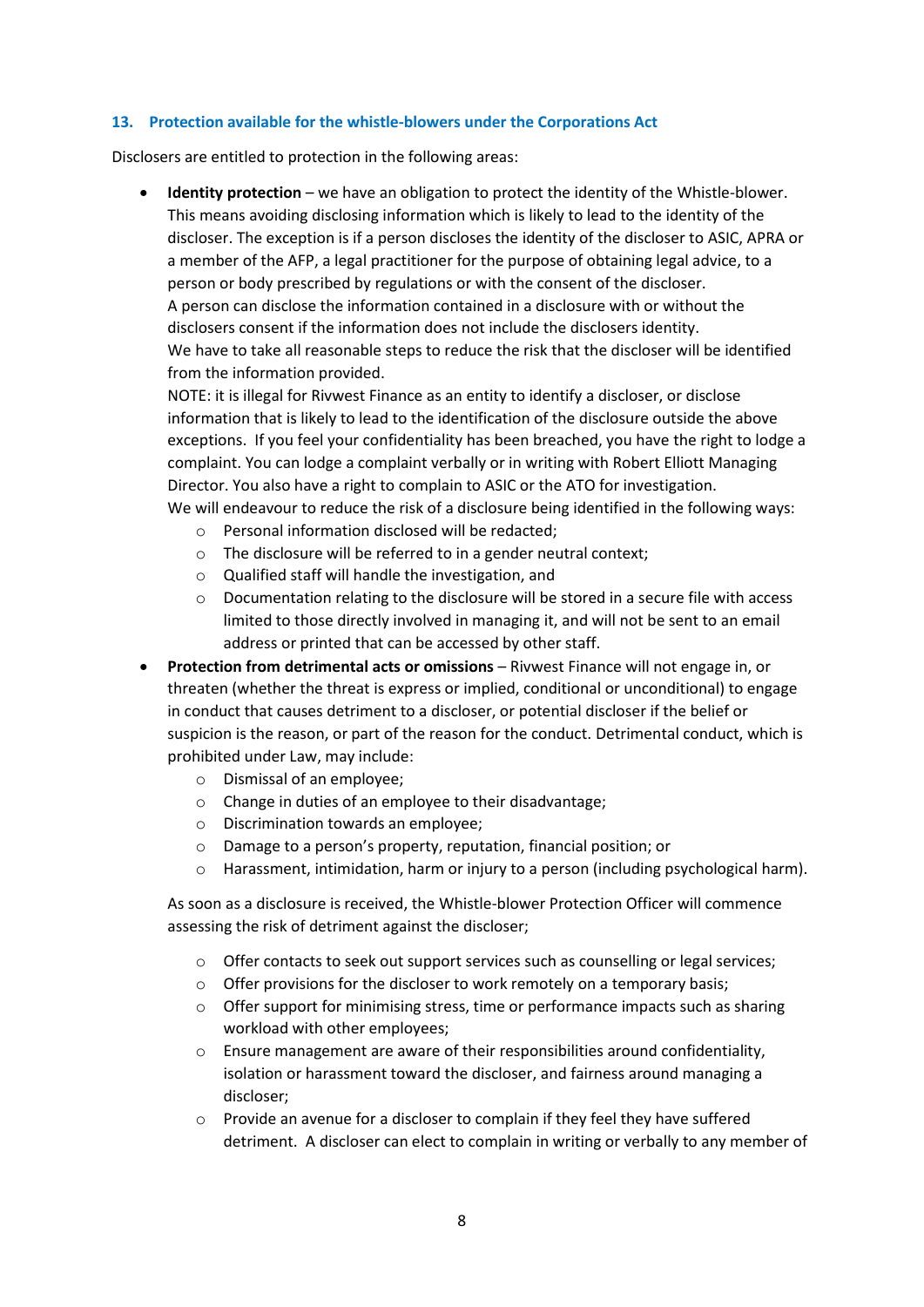#### **13. Protection available for the whistle-blowers under the Corporations Act**

Disclosers are entitled to protection in the following areas:

 **Identity protection** – we have an obligation to protect the identity of the Whistle-blower. This means avoiding disclosing information which is likely to lead to the identity of the discloser. The exception is if a person discloses the identity of the discloser to ASIC, APRA or a member of the AFP, a legal practitioner for the purpose of obtaining legal advice, to a person or body prescribed by regulations or with the consent of the discloser. A person can disclose the information contained in a disclosure with or without the disclosers consent if the information does not include the disclosers identity. We have to take all reasonable steps to reduce the risk that the discloser will be identified from the information provided.

NOTE: it is illegal for Rivwest Finance as an entity to identify a discloser, or disclose information that is likely to lead to the identification of the disclosure outside the above exceptions. If you feel your confidentiality has been breached, you have the right to lodge a complaint. You can lodge a complaint verbally or in writing with Robert Elliott Managing Director. You also have a right to complain to ASIC or the ATO for investigation. We will endeavour to reduce the risk of a disclosure being identified in the following ways:

- o Personal information disclosed will be redacted;
- o The disclosure will be referred to in a gender neutral context;
- o Qualified staff will handle the investigation, and
- o Documentation relating to the disclosure will be stored in a secure file with access limited to those directly involved in managing it, and will not be sent to an email address or printed that can be accessed by other staff.
- **Protection from detrimental acts or omissions** Rivwest Finance will not engage in, or threaten (whether the threat is express or implied, conditional or unconditional) to engage in conduct that causes detriment to a discloser, or potential discloser if the belief or suspicion is the reason, or part of the reason for the conduct. Detrimental conduct, which is prohibited under Law, may include:
	- o Dismissal of an employee;
	- o Change in duties of an employee to their disadvantage;
	- o Discrimination towards an employee;
	- o Damage to a person's property, reputation, financial position; or
	- $\circ$  Harassment, intimidation, harm or injury to a person (including psychological harm).

As soon as a disclosure is received, the Whistle-blower Protection Officer will commence assessing the risk of detriment against the discloser;

- o Offer contacts to seek out support services such as counselling or legal services;
- $\circ$  Offer provisions for the discloser to work remotely on a temporary basis;
- $\circ$  Offer support for minimising stress, time or performance impacts such as sharing workload with other employees;
- o Ensure management are aware of their responsibilities around confidentiality, isolation or harassment toward the discloser, and fairness around managing a discloser;
- $\circ$  Provide an avenue for a discloser to complain if they feel they have suffered detriment. A discloser can elect to complain in writing or verbally to any member of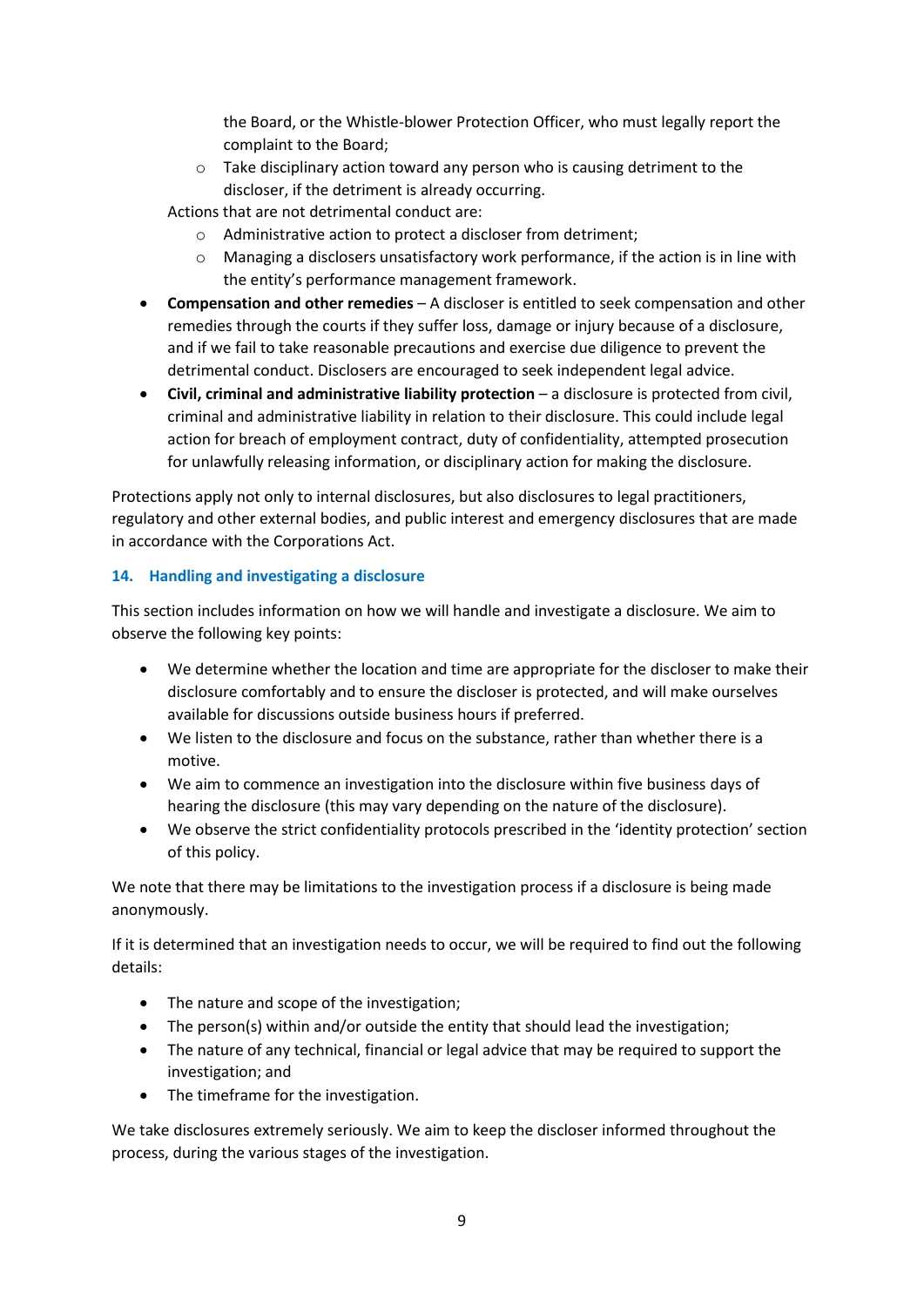the Board, or the Whistle-blower Protection Officer, who must legally report the complaint to the Board;

o Take disciplinary action toward any person who is causing detriment to the discloser, if the detriment is already occurring.

Actions that are not detrimental conduct are:

- o Administrative action to protect a discloser from detriment;
- o Managing a disclosers unsatisfactory work performance, if the action is in line with the entity's performance management framework.
- **Compensation and other remedies** A discloser is entitled to seek compensation and other remedies through the courts if they suffer loss, damage or injury because of a disclosure, and if we fail to take reasonable precautions and exercise due diligence to prevent the detrimental conduct. Disclosers are encouraged to seek independent legal advice.
- **Civil, criminal and administrative liability protection** a disclosure is protected from civil, criminal and administrative liability in relation to their disclosure. This could include legal action for breach of employment contract, duty of confidentiality, attempted prosecution for unlawfully releasing information, or disciplinary action for making the disclosure.

Protections apply not only to internal disclosures, but also disclosures to legal practitioners, regulatory and other external bodies, and public interest and emergency disclosures that are made in accordance with the Corporations Act.

# **14. Handling and investigating a disclosure**

This section includes information on how we will handle and investigate a disclosure. We aim to observe the following key points:

- We determine whether the location and time are appropriate for the discloser to make their disclosure comfortably and to ensure the discloser is protected, and will make ourselves available for discussions outside business hours if preferred.
- We listen to the disclosure and focus on the substance, rather than whether there is a motive.
- We aim to commence an investigation into the disclosure within five business days of hearing the disclosure (this may vary depending on the nature of the disclosure).
- We observe the strict confidentiality protocols prescribed in the 'identity protection' section of this policy.

We note that there may be limitations to the investigation process if a disclosure is being made anonymously.

If it is determined that an investigation needs to occur, we will be required to find out the following details:

- The nature and scope of the investigation;
- The person(s) within and/or outside the entity that should lead the investigation;
- The nature of any technical, financial or legal advice that may be required to support the investigation; and
- The timeframe for the investigation.

We take disclosures extremely seriously. We aim to keep the discloser informed throughout the process, during the various stages of the investigation.